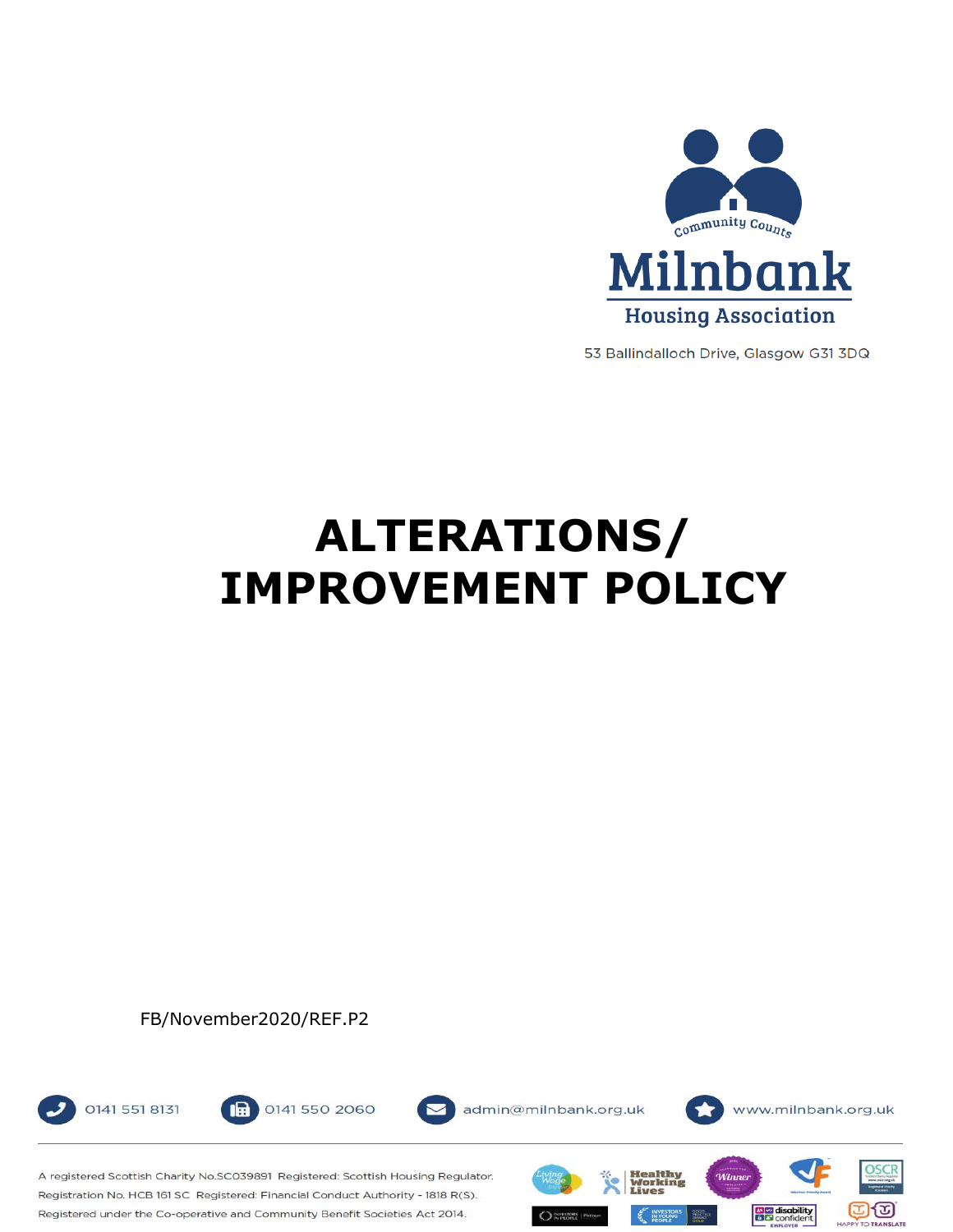

53 Ballindalloch Drive, Glasgow G31 3DQ

# **ALTERATIONS/ IMPROVEMENT POLICY**

FB/November2020/REF.P2





admin@milnbank.org.uk



A registered Scottish Charity No.SCO39891 Registered: Scottish Housing Regulator. Registration No. HCB 161 SC Registered: Financial Conduct Authority - 1818 R(S). Registered under the Co-operative and Community Benefit Societies Act 2014.

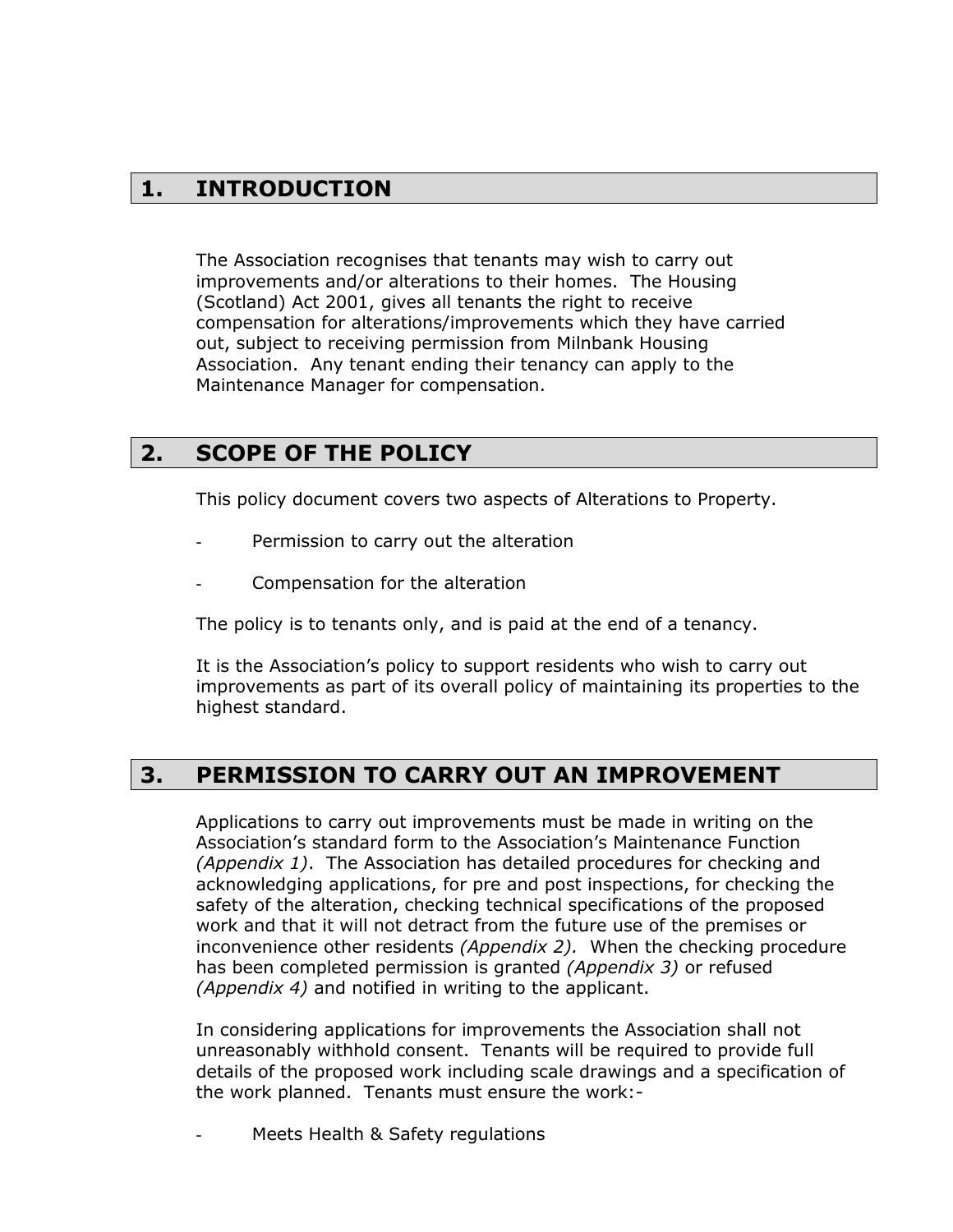## **1. INTRODUCTION**

The Association recognises that tenants may wish to carry out improvements and/or alterations to their homes. The Housing (Scotland) Act 2001, gives all tenants the right to receive compensation for alterations/improvements which they have carried out, subject to receiving permission from Milnbank Housing Association. Any tenant ending their tenancy can apply to the Maintenance Manager for compensation.

## **2. SCOPE OF THE POLICY**

This policy document covers two aspects of Alterations to Property.

- Permission to carry out the alteration
- Compensation for the alteration

The policy is to tenants only, and is paid at the end of a tenancy.

It is the Association's policy to support residents who wish to carry out improvements as part of its overall policy of maintaining its properties to the highest standard.

## **3. PERMISSION TO CARRY OUT AN IMPROVEMENT**

Applications to carry out improvements must be made in writing on the Association's standard form to the Association's Maintenance Function *(Appendix 1)*. The Association has detailed procedures for checking and acknowledging applications, for pre and post inspections, for checking the safety of the alteration, checking technical specifications of the proposed work and that it will not detract from the future use of the premises or inconvenience other residents *(Appendix 2).* When the checking procedure has been completed permission is granted *(Appendix 3)* or refused *(Appendix 4)* and notified in writing to the applicant.

In considering applications for improvements the Association shall not unreasonably withhold consent. Tenants will be required to provide full details of the proposed work including scale drawings and a specification of the work planned. Tenants must ensure the work:-

Meets Health & Safety regulations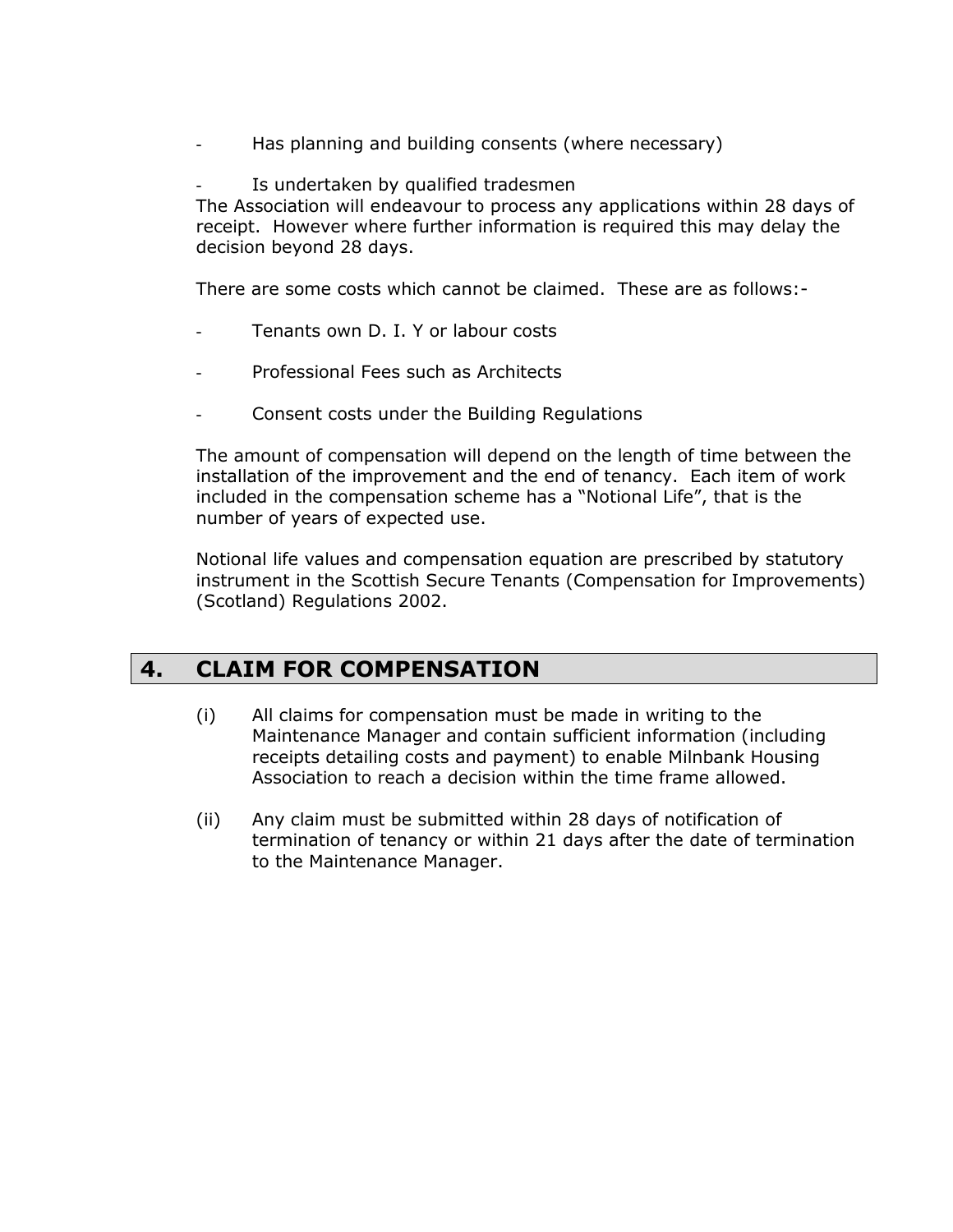- Has planning and building consents (where necessary)
- Is undertaken by qualified tradesmen

The Association will endeavour to process any applications within 28 days of receipt. However where further information is required this may delay the decision beyond 28 days.

There are some costs which cannot be claimed. These are as follows:-

- Tenants own D. I. Y or labour costs
- Professional Fees such as Architects
- Consent costs under the Building Regulations

The amount of compensation will depend on the length of time between the installation of the improvement and the end of tenancy. Each item of work included in the compensation scheme has a "Notional Life", that is the number of years of expected use.

Notional life values and compensation equation are prescribed by statutory instrument in the Scottish Secure Tenants (Compensation for Improvements) (Scotland) Regulations 2002.

## **4. CLAIM FOR COMPENSATION**

- (i) All claims for compensation must be made in writing to the Maintenance Manager and contain sufficient information (including receipts detailing costs and payment) to enable Milnbank Housing Association to reach a decision within the time frame allowed.
- (ii) Any claim must be submitted within 28 days of notification of termination of tenancy or within 21 days after the date of termination to the Maintenance Manager.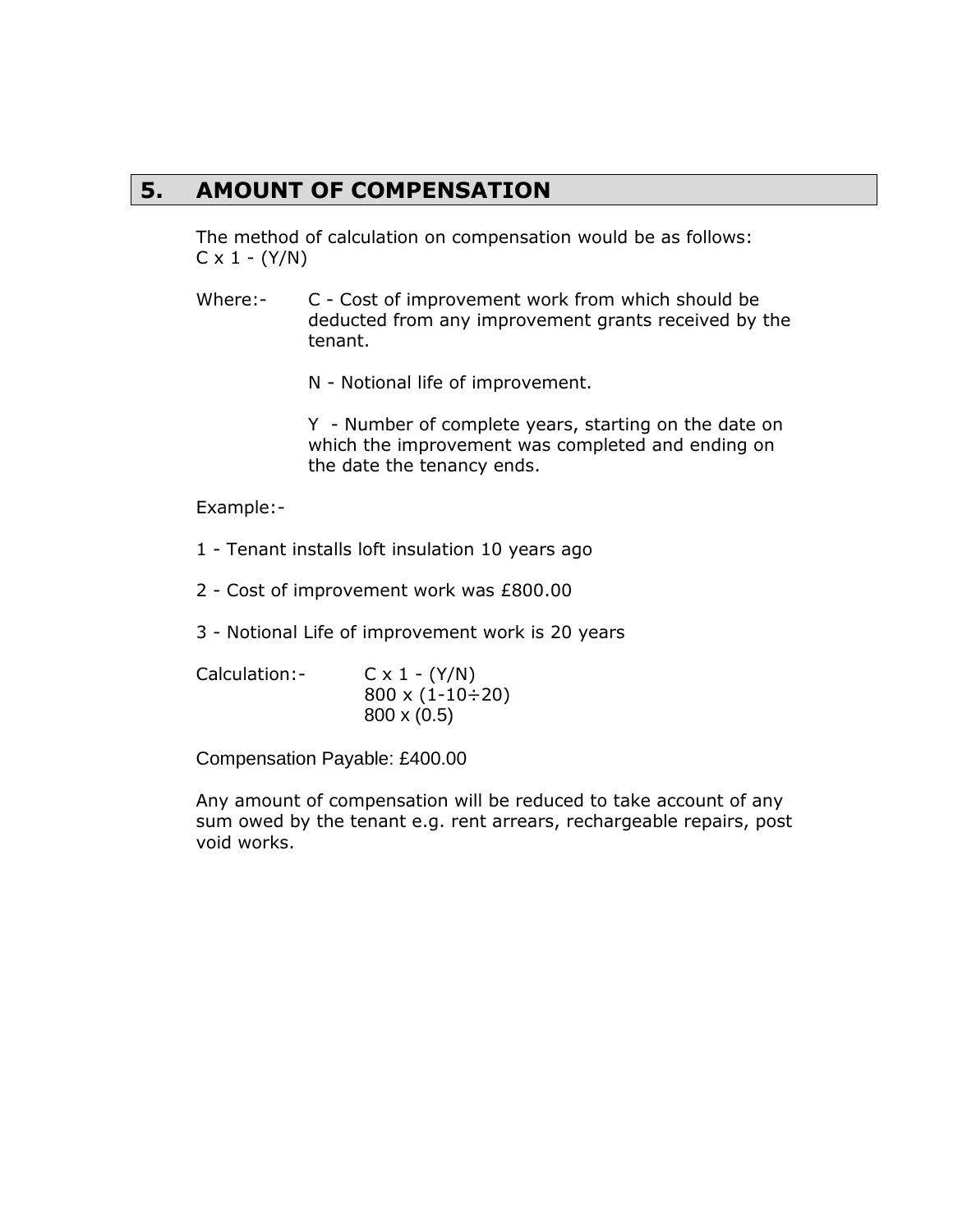## **5. AMOUNT OF COMPENSATION**

The method of calculation on compensation would be as follows:  $C \times 1 - (Y/N)$ 

Where:- C - Cost of improvement work from which should be deducted from any improvement grants received by the tenant.

N - Notional life of improvement.

Y - Number of complete years, starting on the date on which the improvement was completed and ending on the date the tenancy ends.

Example:-

- 1 Tenant installs loft insulation 10 years ago
- 2 Cost of improvement work was £800.00
- 3 Notional Life of improvement work is 20 years
- Calculation:-  $C \times 1 (Y/N)$  $800 \times (1 - 10 \div 20)$ 800 x (0.5)

Compensation Payable: £400.00

Any amount of compensation will be reduced to take account of any sum owed by the tenant e.g. rent arrears, rechargeable repairs, post void works.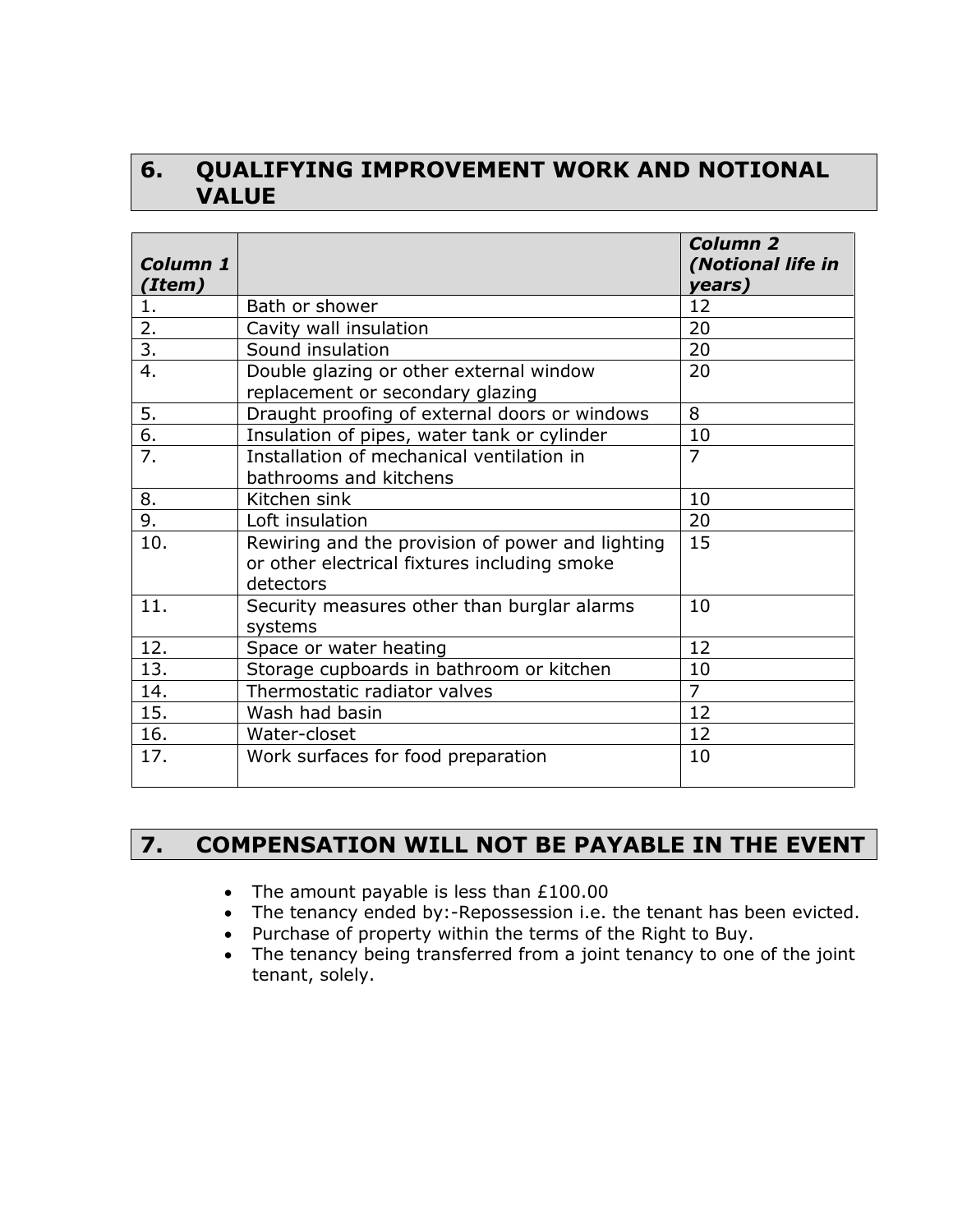# **6. QUALIFYING IMPROVEMENT WORK AND NOTIONAL VALUE**

| <b>Column 1</b><br>(Item) |                                                                                                               | Column <sub>2</sub><br>(Notional life in<br>years) |
|---------------------------|---------------------------------------------------------------------------------------------------------------|----------------------------------------------------|
| 1.                        | Bath or shower                                                                                                | 12                                                 |
| 2.                        | Cavity wall insulation                                                                                        | 20                                                 |
| $\overline{3}$ .          | Sound insulation                                                                                              | 20                                                 |
| 4.                        | Double glazing or other external window<br>replacement or secondary glazing                                   | 20                                                 |
| 5.                        | Draught proofing of external doors or windows                                                                 | 8                                                  |
| $\overline{6}$ .          | Insulation of pipes, water tank or cylinder                                                                   | 10                                                 |
| 7.                        | Installation of mechanical ventilation in<br>bathrooms and kitchens                                           | $\overline{7}$                                     |
| 8.                        | Kitchen sink                                                                                                  | 10                                                 |
| $\overline{9}$ .          | Loft insulation                                                                                               | 20                                                 |
| 10.                       | Rewiring and the provision of power and lighting<br>or other electrical fixtures including smoke<br>detectors | 15                                                 |
| 11.                       | Security measures other than burglar alarms<br>systems                                                        | 10                                                 |
| 12.                       | Space or water heating                                                                                        | 12                                                 |
| 13.                       | Storage cupboards in bathroom or kitchen                                                                      | 10                                                 |
| 14.                       | Thermostatic radiator valves                                                                                  | $\overline{7}$                                     |
| 15.                       | Wash had basin                                                                                                | 12                                                 |
| 16.                       | Water-closet                                                                                                  | 12                                                 |
| 17.                       | Work surfaces for food preparation                                                                            | 10                                                 |

# **7. COMPENSATION WILL NOT BE PAYABLE IN THE EVENT**

- The amount payable is less than £100.00
- The tenancy ended by:-Repossession i.e. the tenant has been evicted.
- Purchase of property within the terms of the Right to Buy.
- The tenancy being transferred from a joint tenancy to one of the joint tenant, solely.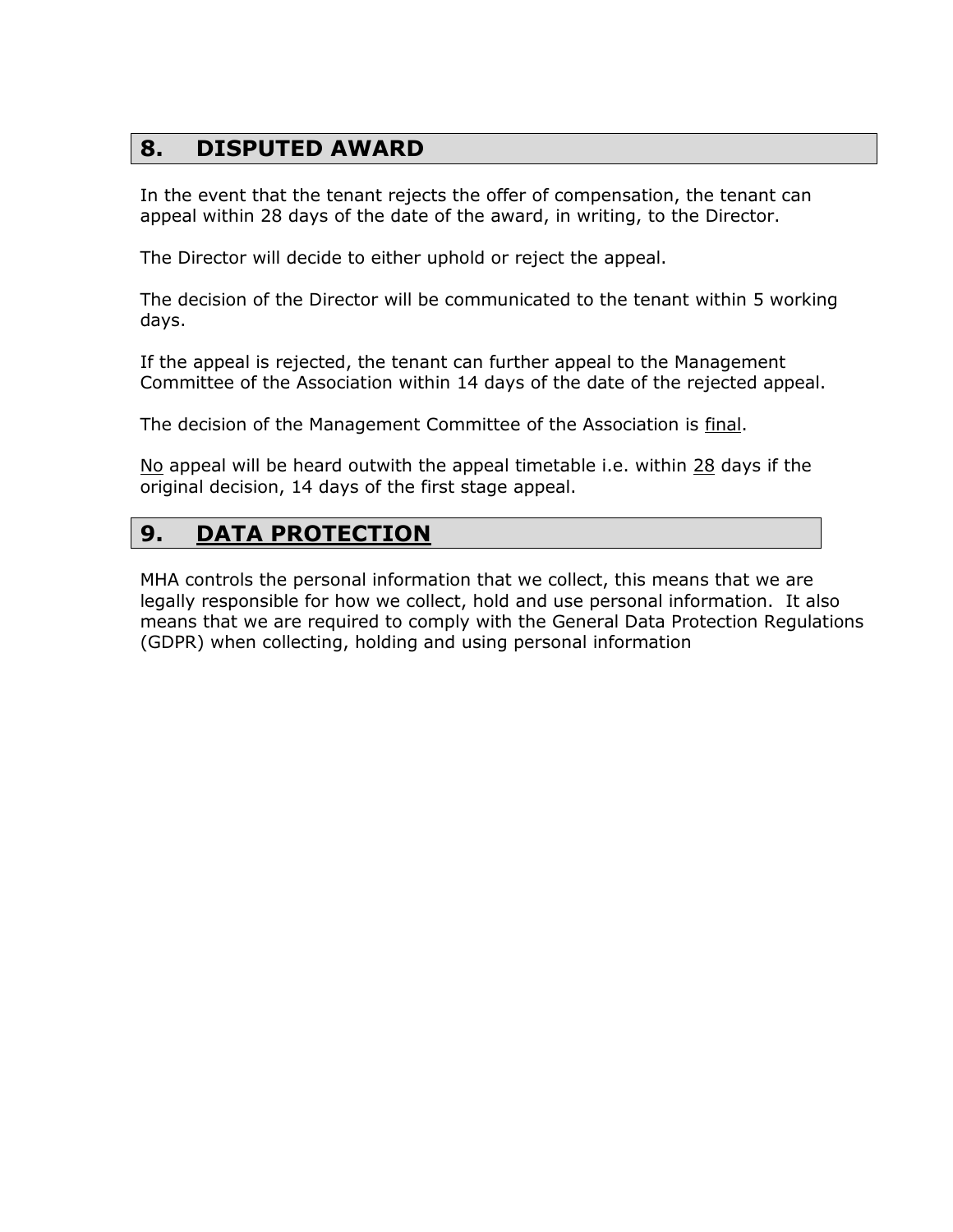# **8. DISPUTED AWARD**

In the event that the tenant rejects the offer of compensation, the tenant can appeal within 28 days of the date of the award, in writing, to the Director.

The Director will decide to either uphold or reject the appeal.

The decision of the Director will be communicated to the tenant within 5 working days.

If the appeal is rejected, the tenant can further appeal to the Management Committee of the Association within 14 days of the date of the rejected appeal.

The decision of the Management Committee of the Association is final.

No appeal will be heard outwith the appeal timetable i.e. within 28 days if the original decision, 14 days of the first stage appeal.

# **9. DATA PROTECTION**

MHA controls the personal information that we collect, this means that we are legally responsible for how we collect, hold and use personal information. It also means that we are required to comply with the General Data Protection Regulations (GDPR) when collecting, holding and using personal information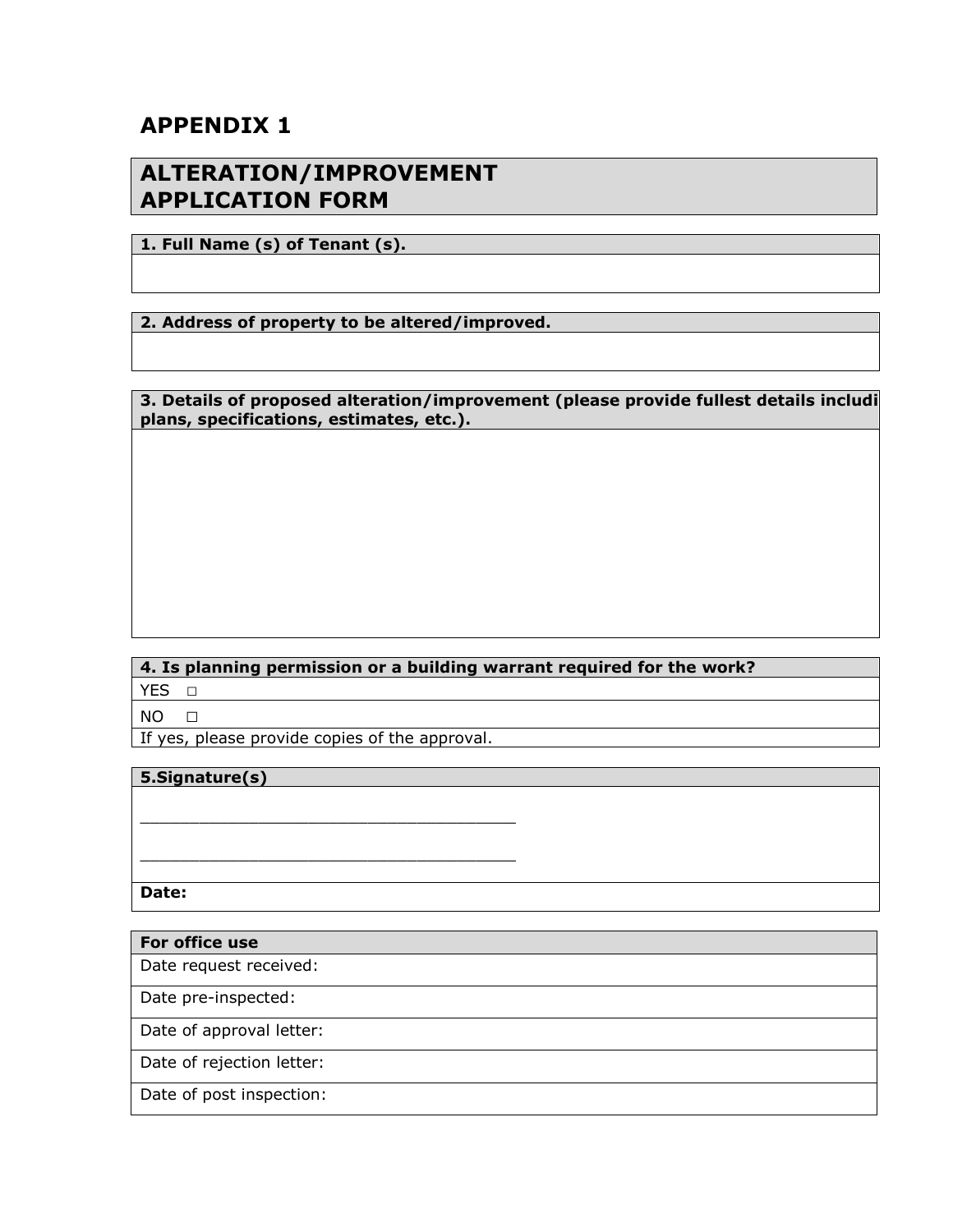# **APPENDIX 1**

## **ALTERATION/IMPROVEMENT APPLICATION FORM**

**1. Full Name (s) of Tenant (s).**

**2. Address of property to be altered/improved.**

**3. Details of proposed alteration/improvement (please provide fullest details includi plans, specifications, estimates, etc.).**

**4. Is planning permission or a building warrant required for the work?** YES □

 $NO$   $\Box$ 

If yes, please provide copies of the approval.

\_\_\_\_\_\_\_\_\_\_\_\_\_\_\_\_\_\_\_\_\_\_\_\_\_\_\_\_\_\_\_\_\_\_\_\_\_\_

\_\_\_\_\_\_\_\_\_\_\_\_\_\_\_\_\_\_\_\_\_\_\_\_\_\_\_\_\_\_\_\_\_\_\_\_\_\_

#### **5.Signature(s)**

**Date:**

| For office use            |
|---------------------------|
| Date request received:    |
| Date pre-inspected:       |
| Date of approval letter:  |
| Date of rejection letter: |
| Date of post inspection:  |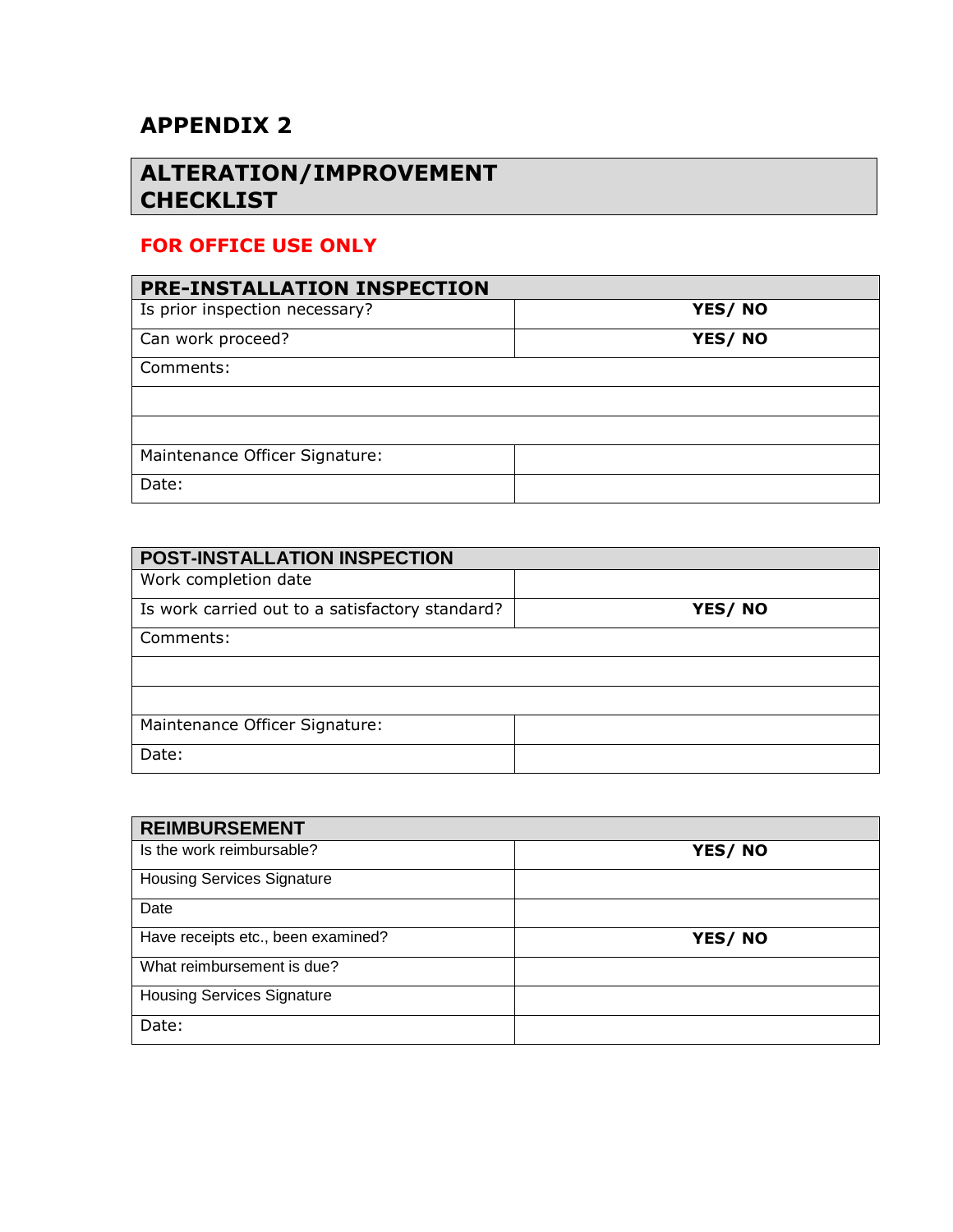# **APPENDIX 2**

# **ALTERATION/IMPROVEMENT CHECKLIST**

## **FOR OFFICE USE ONLY**

| PRE-INSTALLATION INSPECTION    |        |  |  |
|--------------------------------|--------|--|--|
| Is prior inspection necessary? | YES/NO |  |  |
| Can work proceed?              | YES/NO |  |  |
| Comments:                      |        |  |  |
|                                |        |  |  |
|                                |        |  |  |
| Maintenance Officer Signature: |        |  |  |
| Date:                          |        |  |  |

| POST-INSTALLATION INSPECTION                    |        |  |  |
|-------------------------------------------------|--------|--|--|
| Work completion date                            |        |  |  |
| Is work carried out to a satisfactory standard? | YES/NO |  |  |
| Comments:                                       |        |  |  |
|                                                 |        |  |  |
|                                                 |        |  |  |
| Maintenance Officer Signature:                  |        |  |  |
| Date:                                           |        |  |  |

| <b>REIMBURSEMENT</b>               |        |  |
|------------------------------------|--------|--|
| Is the work reimbursable?          | YES/NO |  |
| <b>Housing Services Signature</b>  |        |  |
| Date                               |        |  |
| Have receipts etc., been examined? | YES/NO |  |
| What reimbursement is due?         |        |  |
| <b>Housing Services Signature</b>  |        |  |
| Date:                              |        |  |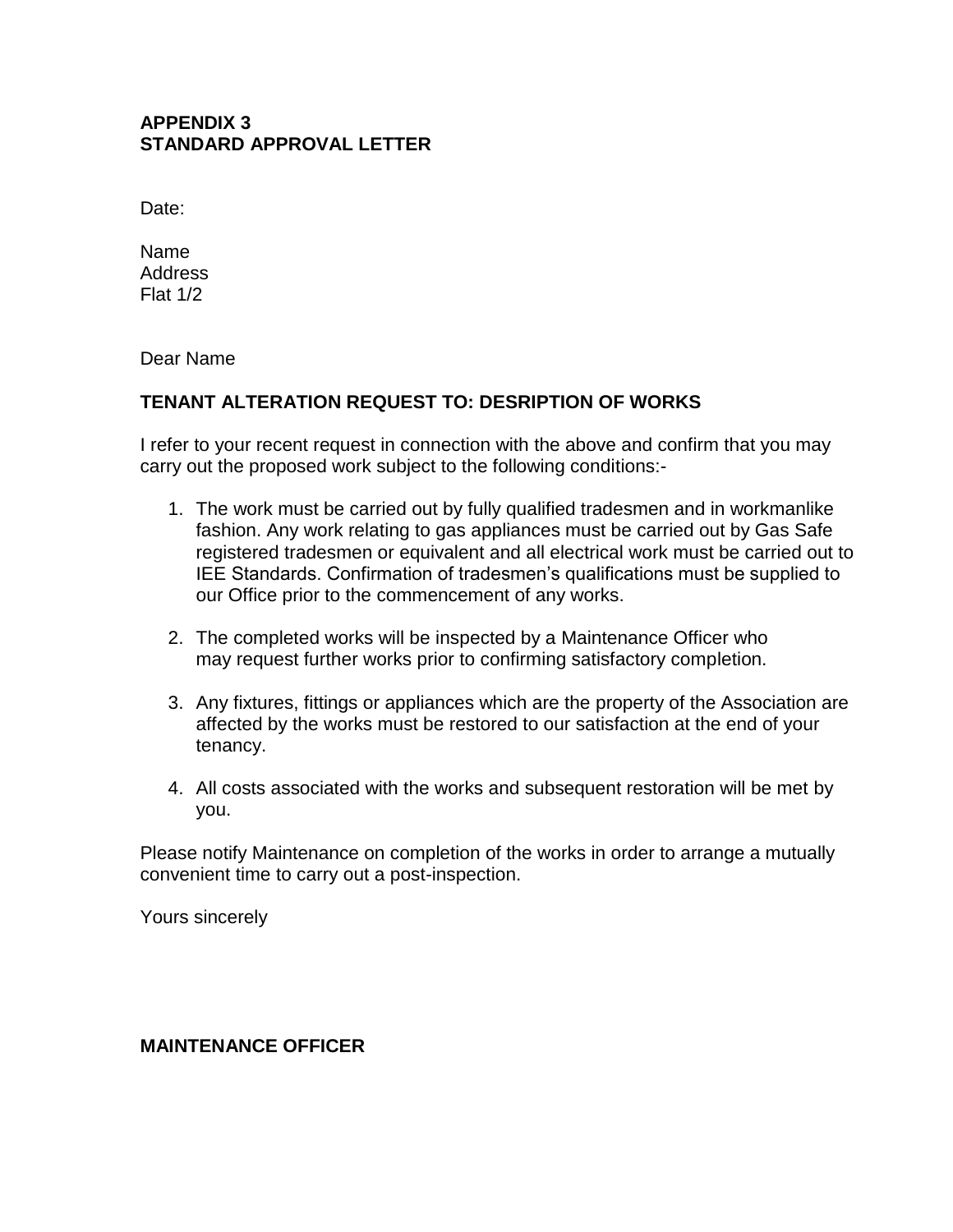#### **APPENDIX 3 STANDARD APPROVAL LETTER**

Date:

Name **Address** Flat 1/2

Dear Name

#### **TENANT ALTERATION REQUEST TO: DESRIPTION OF WORKS**

I refer to your recent request in connection with the above and confirm that you may carry out the proposed work subject to the following conditions:-

- 1. The work must be carried out by fully qualified tradesmen and in workmanlike fashion. Any work relating to gas appliances must be carried out by Gas Safe registered tradesmen or equivalent and all electrical work must be carried out to IEE Standards. Confirmation of tradesmen's qualifications must be supplied to our Office prior to the commencement of any works.
- 2. The completed works will be inspected by a Maintenance Officer who may request further works prior to confirming satisfactory completion.
- 3. Any fixtures, fittings or appliances which are the property of the Association are affected by the works must be restored to our satisfaction at the end of your tenancy.
- 4. All costs associated with the works and subsequent restoration will be met by you.

Please notify Maintenance on completion of the works in order to arrange a mutually convenient time to carry out a post-inspection.

Yours sincerely

#### **MAINTENANCE OFFICER**